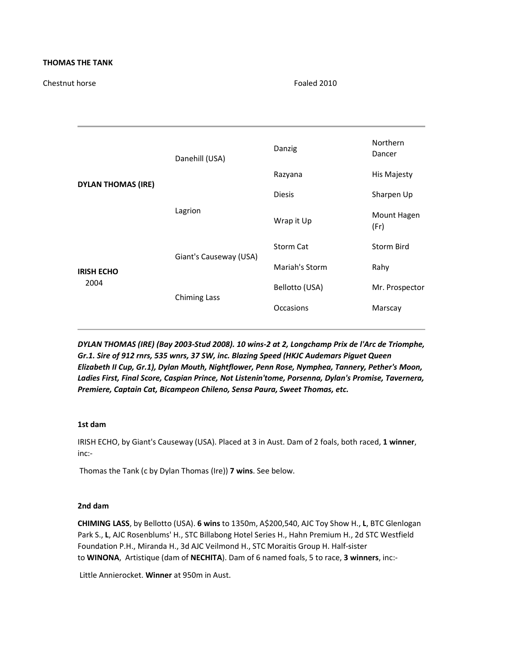## **THOMAS THE TANK**

Chestnut horse Foaled 2010

| <b>DYLAN THOMAS (IRE)</b> | Danehill (USA)         | Danzig           | <b>Northern</b><br>Dancer |
|---------------------------|------------------------|------------------|---------------------------|
|                           |                        | Razyana          | <b>His Majesty</b>        |
|                           | Lagrion                | <b>Diesis</b>    | Sharpen Up                |
|                           |                        | Wrap it Up       | Mount Hagen<br>(Fr)       |
| <b>IRISH ECHO</b><br>2004 | Giant's Causeway (USA) | <b>Storm Cat</b> | <b>Storm Bird</b>         |
|                           |                        | Mariah's Storm   | Rahy                      |
|                           | <b>Chiming Lass</b>    | Bellotto (USA)   | Mr. Prospector            |
|                           |                        | Occasions        | Marscay                   |
|                           |                        |                  |                           |

*DYLAN THOMAS (IRE) (Bay 2003-Stud 2008). 10 wins-2 at 2, Longchamp Prix de l'Arc de Triomphe, Gr.1. Sire of 912 rnrs, 535 wnrs, 37 SW, inc. Blazing Speed (HKJC Audemars Piguet Queen Elizabeth II Cup, Gr.1), Dylan Mouth, Nightflower, Penn Rose, Nymphea, Tannery, Pether's Moon, Ladies First, Final Score, Caspian Prince, Not Listenin'tome, Porsenna, Dylan's Promise, Tavernera, Premiere, Captain Cat, Bicampeon Chileno, Sensa Paura, Sweet Thomas, etc.*

## **1st dam**

IRISH ECHO, by Giant's Causeway (USA). Placed at 3 in Aust. Dam of 2 foals, both raced, **1 winner**, inc:-

Thomas the Tank (c by Dylan Thomas (Ire)) **7 wins**. See below.

# **2nd dam**

**CHIMING LASS**, by Bellotto (USA). **6 wins** to 1350m, A\$200,540, AJC Toy Show H., **L**, BTC Glenlogan Park S., **L**, AJC Rosenblums' H., STC Billabong Hotel Series H., Hahn Premium H., 2d STC Westfield Foundation P.H., Miranda H., 3d AJC Veilmond H., STC Moraitis Group H. Half-sister to **WINONA**, Artistique (dam of **NECHITA**). Dam of 6 named foals, 5 to race, **3 winners**, inc:-

Little Annierocket. **Winner** at 950m in Aust.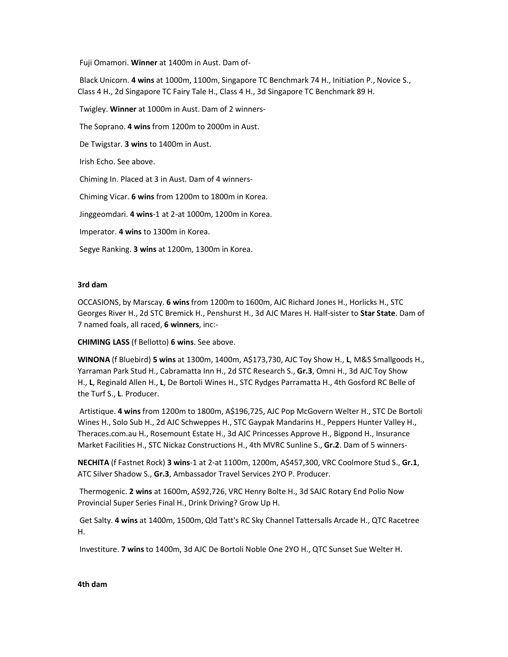Fuji Omamori. **Winner** at 1400m in Aust. Dam of-

 Black Unicorn. **4 wins** at 1000m, 1100m, Singapore TC Benchmark 74 H., Initiation P., Novice S., Class 4 H., 2d Singapore TC Fairy Tale H., Class 4 H., 3d Singapore TC Benchmark 89 H.

Twigley. **Winner** at 1000m in Aust. Dam of 2 winners-

The Soprano. **4 wins** from 1200m to 2000m in Aust.

De Twigstar. **3 wins** to 1400m in Aust.

Irish Echo. See above.

Chiming In. Placed at 3 in Aust. Dam of 4 winners-

Chiming Vicar. **6 wins** from 1200m to 1800m in Korea.

Jinggeomdari. **4 wins**-1 at 2-at 1000m, 1200m in Korea.

Imperator. **4 wins** to 1300m in Korea.

Segye Ranking. **3 wins** at 1200m, 1300m in Korea.

### **3rd dam**

OCCASIONS, by Marscay. **6 wins** from 1200m to 1600m, AJC Richard Jones H., Horlicks H., STC Georges River H., 2d STC Bremick H., Penshurst H., 3d AJC Mares H. Half-sister to **Star State**. Dam of 7 named foals, all raced, **6 winners**, inc:-

**CHIMING LASS** (f Bellotto) **6 wins**. See above.

**WINONA** (f Bluebird) **5 wins** at 1300m, 1400m, A\$173,730, AJC Toy Show H., **L**, M&S Smallgoods H., Yarraman Park Stud H., Cabramatta Inn H., 2d STC Research S., **Gr.3**, Omni H., 3d AJC Toy Show H., **L**, Reginald Allen H., **L**, De Bortoli Wines H., STC Rydges Parramatta H., 4th Gosford RC Belle of the Turf S., **L**. Producer.

 Artistique. **4 wins** from 1200m to 1800m, A\$196,725, AJC Pop McGovern Welter H., STC De Bortoli Wines H., Solo Sub H., 2d AJC Schweppes H., STC Gaypak Mandarins H., Peppers Hunter Valley H., Theraces.com.au H., Rosemount Estate H., 3d AJC Princesses Approve H., Bigpond H., Insurance Market Facilities H., STC Nickaz Constructions H., 4th MVRC Sunline S., **Gr.2**. Dam of 5 winners-

**NECHITA** (f Fastnet Rock) **3 wins**-1 at 2-at 1100m, 1200m, A\$457,300, VRC Coolmore Stud S., **Gr.1**, ATC Silver Shadow S., **Gr.3**, Ambassador Travel Services 2YO P. Producer.

 Thermogenic. **2 wins** at 1600m, A\$92,726, VRC Henry Bolte H., 3d SAJC Rotary End Polio Now Provincial Super Series Final H., Drink Driving? Grow Up H.

 Get Salty. **4 wins** at 1400m, 1500m, Qld Tatt's RC Sky Channel Tattersalls Arcade H., QTC Racetree H.

Investiture. **7 wins** to 1400m, 3d AJC De Bortoli Noble One 2YO H., QTC Sunset Sue Welter H.

#### **4th dam**